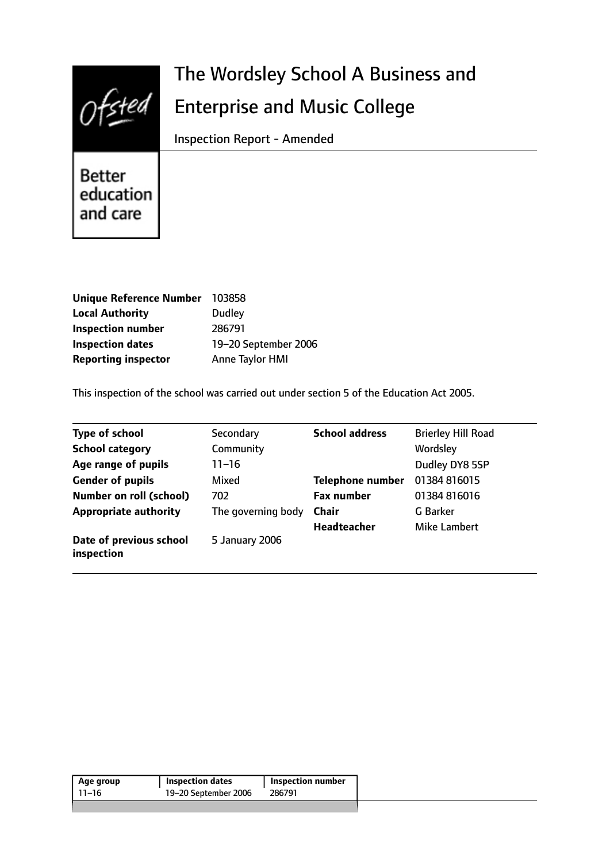

# The Wordsley School A Business and Enterprise and Music College

Inspection Report - Amended

**Better** education and care

| <b>Unique Reference Number</b> | 103858               |
|--------------------------------|----------------------|
| <b>Local Authority</b>         | <b>Dudley</b>        |
| <b>Inspection number</b>       | 286791               |
| <b>Inspection dates</b>        | 19-20 September 2006 |
| <b>Reporting inspector</b>     | Anne Taylor HMI      |

This inspection of the school was carried out under section 5 of the Education Act 2005.

| <b>Type of school</b>                 | Secondary          | <b>School address</b>   | <b>Brierley Hill Road</b> |
|---------------------------------------|--------------------|-------------------------|---------------------------|
| <b>School category</b>                | Community          |                         | Wordsley                  |
| Age range of pupils                   | $11 - 16$          |                         | Dudley DY8 5SP            |
| <b>Gender of pupils</b>               | Mixed              | <b>Telephone number</b> | 01384 816015              |
| <b>Number on roll (school)</b>        | 702                | <b>Fax number</b>       | 01384 816016              |
| <b>Appropriate authority</b>          | The governing body | <b>Chair</b>            | G Barker                  |
|                                       |                    | <b>Headteacher</b>      | Mike Lambert              |
| Date of previous school<br>inspection | 5 January 2006     |                         |                           |

| Age group | <b>Inspection dates</b> | Inspection number |
|-----------|-------------------------|-------------------|
| 11–16     | 19-20 September 2006    | 286791            |
|           |                         |                   |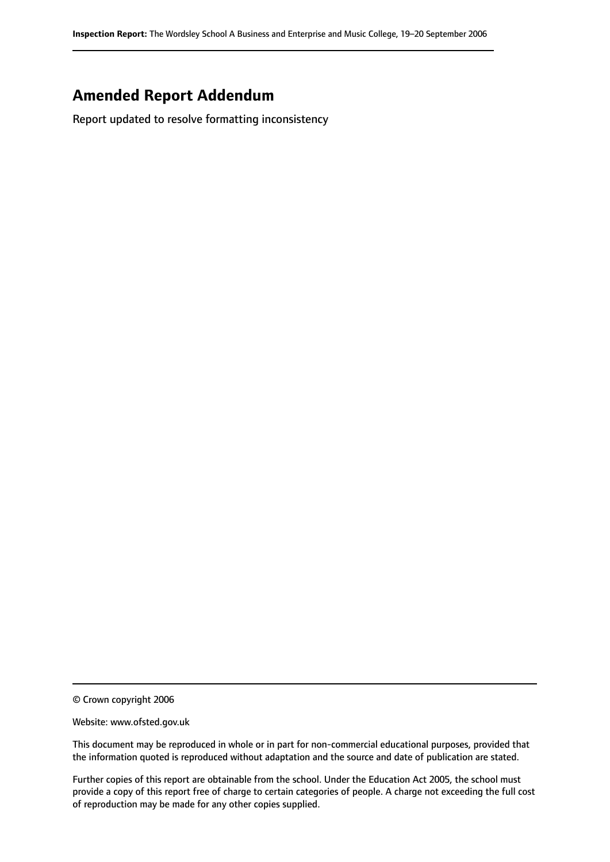# **Amended Report Addendum**

Report updated to resolve formatting inconsistency

<sup>©</sup> Crown copyright 2006

Website: www.ofsted.gov.uk

This document may be reproduced in whole or in part for non-commercial educational purposes, provided that the information quoted is reproduced without adaptation and the source and date of publication are stated.

Further copies of this report are obtainable from the school. Under the Education Act 2005, the school must provide a copy of this report free of charge to certain categories of people. A charge not exceeding the full cost of reproduction may be made for any other copies supplied.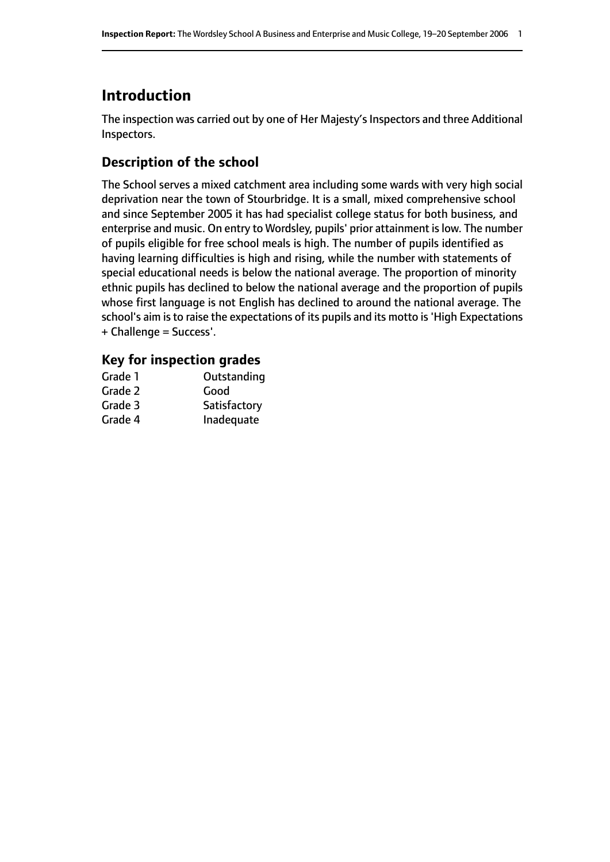# **Introduction**

The inspection was carried out by one of Her Majesty's Inspectors and three Additional Inspectors.

# **Description of the school**

The School serves a mixed catchment area including some wards with very high social deprivation near the town of Stourbridge. It is a small, mixed comprehensive school and since September 2005 it has had specialist college status for both business, and enterprise and music. On entry to Wordsley, pupils' prior attainment islow. The number of pupils eligible for free school meals is high. The number of pupils identified as having learning difficulties is high and rising, while the number with statements of special educational needs is below the national average. The proportion of minority ethnic pupils has declined to below the national average and the proportion of pupils whose first language is not English has declined to around the national average. The school's aim is to raise the expectations of its pupils and its motto is 'High Expectations + Challenge = Success'.

### **Key for inspection grades**

| Grade 1 | Outstanding  |
|---------|--------------|
| Grade 2 | Good         |
| Grade 3 | Satisfactory |
| Grade 4 | Inadequate   |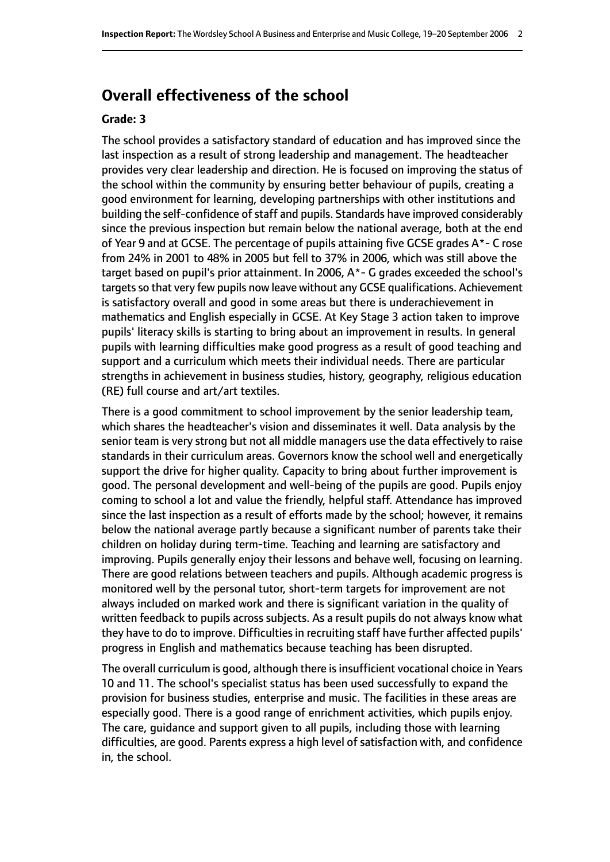# **Overall effectiveness of the school**

#### **Grade: 3**

The school provides a satisfactory standard of education and has improved since the last inspection as a result of strong leadership and management. The headteacher provides very clear leadership and direction. He is focused on improving the status of the school within the community by ensuring better behaviour of pupils, creating a good environment for learning, developing partnerships with other institutions and building the self-confidence of staff and pupils. Standards have improved considerably since the previous inspection but remain below the national average, both at the end of Year 9 and at GCSE. The percentage of pupils attaining five GCSE grades  $A^*$ - C rose from 24% in 2001 to 48% in 2005 but fell to 37% in 2006, which was still above the target based on pupil's prior attainment. In 2006, A\*- G grades exceeded the school's targets so that very few pupils now leave without any GCSE qualifications. Achievement is satisfactory overall and good in some areas but there is underachievement in mathematics and English especially in GCSE. At Key Stage 3 action taken to improve pupils' literacy skills is starting to bring about an improvement in results. In general pupils with learning difficulties make good progress as a result of good teaching and support and a curriculum which meets their individual needs. There are particular strengths in achievement in business studies, history, geography, religious education (RE) full course and art/art textiles.

There is a good commitment to school improvement by the senior leadership team, which shares the headteacher's vision and disseminates it well. Data analysis by the senior team is very strong but not all middle managers use the data effectively to raise standards in their curriculum areas. Governors know the school well and energetically support the drive for higher quality. Capacity to bring about further improvement is good. The personal development and well-being of the pupils are good. Pupils enjoy coming to school a lot and value the friendly, helpful staff. Attendance has improved since the last inspection as a result of efforts made by the school; however, it remains below the national average partly because a significant number of parents take their children on holiday during term-time. Teaching and learning are satisfactory and improving. Pupils generally enjoy their lessons and behave well, focusing on learning. There are good relations between teachers and pupils. Although academic progress is monitored well by the personal tutor, short-term targets for improvement are not always included on marked work and there is significant variation in the quality of written feedback to pupils across subjects. As a result pupils do not always know what they have to do to improve. Difficulties in recruiting staff have further affected pupils' progress in English and mathematics because teaching has been disrupted.

The overall curriculum is good, although there is insufficient vocational choice in Years 10 and 11. The school's specialist status has been used successfully to expand the provision for business studies, enterprise and music. The facilities in these areas are especially good. There is a good range of enrichment activities, which pupils enjoy. The care, guidance and support given to all pupils, including those with learning difficulties, are good. Parents express a high level of satisfaction with, and confidence in, the school.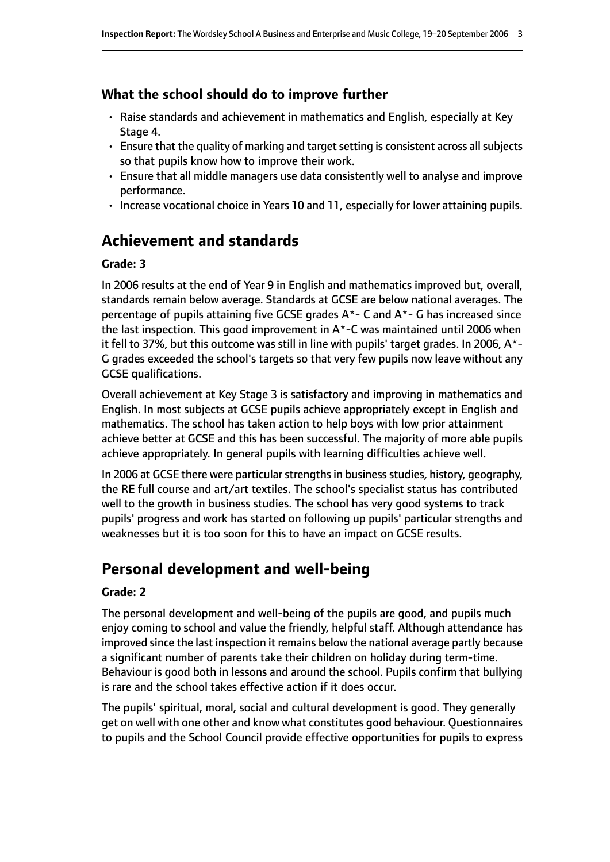### **What the school should do to improve further**

- Raise standards and achievement in mathematics and English, especially at Key Stage 4.
- $\cdot$  Ensure that the quality of marking and target setting is consistent across all subjects so that pupils know how to improve their work.
- Ensure that all middle managers use data consistently well to analyse and improve performance.
- Increase vocational choice in Years 10 and 11, especially for lower attaining pupils.

# **Achievement and standards**

#### **Grade: 3**

In 2006 results at the end of Year 9 in English and mathematics improved but, overall, standards remain below average. Standards at GCSE are below national averages. The percentage of pupils attaining five GCSE grades A\*- C and A\*- G has increased since the last inspection. This good improvement in  $A^*$ -C was maintained until 2006 when it fell to 37%, but this outcome was still in line with pupils' target grades. In 2006, A\*- G grades exceeded the school's targets so that very few pupils now leave without any GCSE qualifications.

Overall achievement at Key Stage 3 is satisfactory and improving in mathematics and English. In most subjects at GCSE pupils achieve appropriately except in English and mathematics. The school has taken action to help boys with low prior attainment achieve better at GCSE and this has been successful. The majority of more able pupils achieve appropriately. In general pupils with learning difficulties achieve well.

In 2006 at GCSE there were particular strengths in business studies, history, geography, the RE full course and art/art textiles. The school's specialist status has contributed well to the growth in business studies. The school has very good systems to track pupils' progress and work has started on following up pupils' particular strengths and weaknesses but it is too soon for this to have an impact on GCSE results.

# **Personal development and well-being**

#### **Grade: 2**

The personal development and well-being of the pupils are good, and pupils much enjoy coming to school and value the friendly, helpful staff. Although attendance has improved since the last inspection it remains below the national average partly because a significant number of parents take their children on holiday during term-time. Behaviour is good both in lessons and around the school. Pupils confirm that bullying is rare and the school takes effective action if it does occur.

The pupils' spiritual, moral, social and cultural development is good. They generally get on well with one other and know what constitutes good behaviour. Questionnaires to pupils and the School Council provide effective opportunities for pupils to express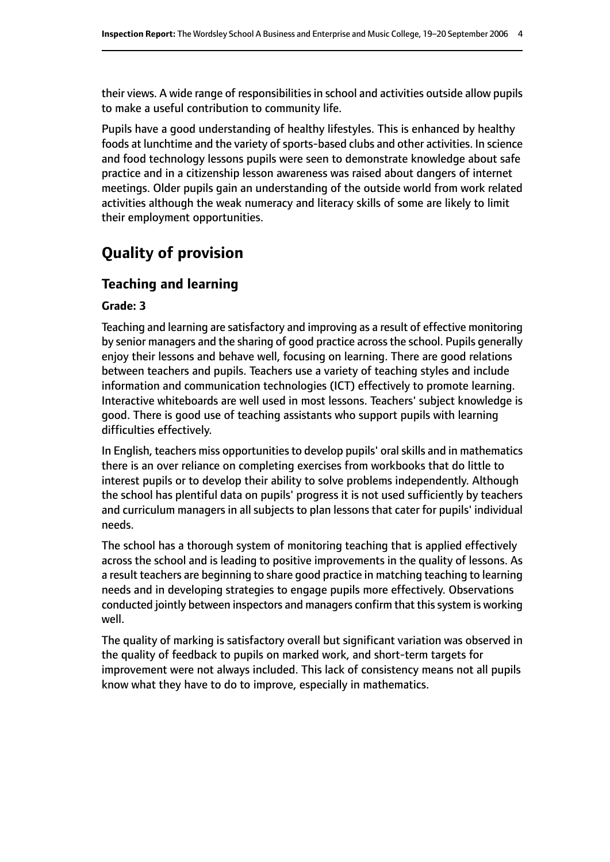their views. A wide range of responsibilities in school and activities outside allow pupils to make a useful contribution to community life.

Pupils have a good understanding of healthy lifestyles. This is enhanced by healthy foods at lunchtime and the variety of sports-based clubs and other activities. In science and food technology lessons pupils were seen to demonstrate knowledge about safe practice and in a citizenship lesson awareness was raised about dangers of internet meetings. Older pupils gain an understanding of the outside world from work related activities although the weak numeracy and literacy skills of some are likely to limit their employment opportunities.

# **Quality of provision**

# **Teaching and learning**

#### **Grade: 3**

Teaching and learning are satisfactory and improving as a result of effective monitoring by senior managers and the sharing of good practice acrossthe school. Pupils generally enjoy their lessons and behave well, focusing on learning. There are good relations between teachers and pupils. Teachers use a variety of teaching styles and include information and communication technologies (ICT) effectively to promote learning. Interactive whiteboards are well used in most lessons. Teachers' subject knowledge is good. There is good use of teaching assistants who support pupils with learning difficulties effectively.

In English, teachers miss opportunities to develop pupils' oral skills and in mathematics there is an over reliance on completing exercises from workbooks that do little to interest pupils or to develop their ability to solve problems independently. Although the school has plentiful data on pupils' progress it is not used sufficiently by teachers and curriculum managers in all subjects to plan lessons that cater for pupils' individual needs.

The school has a thorough system of monitoring teaching that is applied effectively across the school and is leading to positive improvements in the quality of lessons. As a result teachers are beginning to share good practice in matching teaching to learning needs and in developing strategies to engage pupils more effectively. Observations conducted jointly between inspectors and managers confirm that this system is working well.

The quality of marking is satisfactory overall but significant variation was observed in the quality of feedback to pupils on marked work, and short-term targets for improvement were not always included. This lack of consistency means not all pupils know what they have to do to improve, especially in mathematics.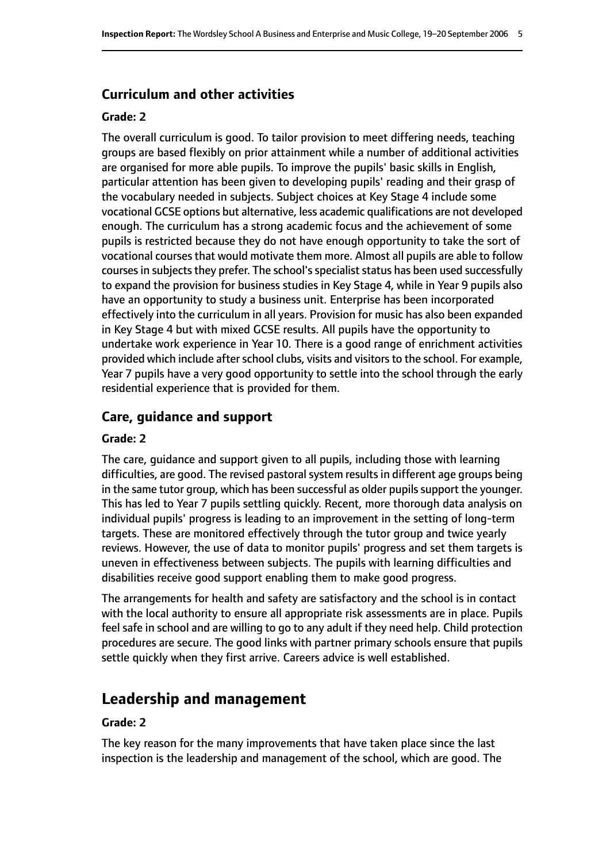#### **Curriculum and other activities**

#### **Grade: 2**

The overall curriculum is good. To tailor provision to meet differing needs, teaching groups are based flexibly on prior attainment while a number of additional activities are organised for more able pupils. To improve the pupils' basic skills in English, particular attention has been given to developing pupils' reading and their grasp of the vocabulary needed in subjects. Subject choices at Key Stage 4 include some vocational GCSE options but alternative, less academic qualifications are not developed enough. The curriculum has a strong academic focus and the achievement of some pupils is restricted because they do not have enough opportunity to take the sort of vocational courses that would motivate them more. Almost all pupils are able to follow courses in subjects they prefer. The school's specialist status has been used successfully to expand the provision for business studies in Key Stage 4, while in Year 9 pupils also have an opportunity to study a business unit. Enterprise has been incorporated effectively into the curriculum in all years. Provision for music has also been expanded in Key Stage 4 but with mixed GCSE results. All pupils have the opportunity to undertake work experience in Year 10. There is a good range of enrichment activities provided which include after school clubs, visits and visitors to the school. For example, Year 7 pupils have a very good opportunity to settle into the school through the early residential experience that is provided for them.

#### **Care, guidance and support**

#### **Grade: 2**

The care, guidance and support given to all pupils, including those with learning difficulties, are good. The revised pastoral system results in different age groups being in the same tutor group, which has been successful as older pupils support the younger. This has led to Year 7 pupils settling quickly. Recent, more thorough data analysis on individual pupils' progress is leading to an improvement in the setting of long-term targets. These are monitored effectively through the tutor group and twice yearly reviews. However, the use of data to monitor pupils' progress and set them targets is uneven in effectiveness between subjects. The pupils with learning difficulties and disabilities receive good support enabling them to make good progress.

The arrangements for health and safety are satisfactory and the school is in contact with the local authority to ensure all appropriate risk assessments are in place. Pupils feel safe in school and are willing to go to any adult if they need help. Child protection procedures are secure. The good links with partner primary schools ensure that pupils settle quickly when they first arrive. Careers advice is well established.

# **Leadership and management**

#### **Grade: 2**

The key reason for the many improvements that have taken place since the last inspection is the leadership and management of the school, which are good. The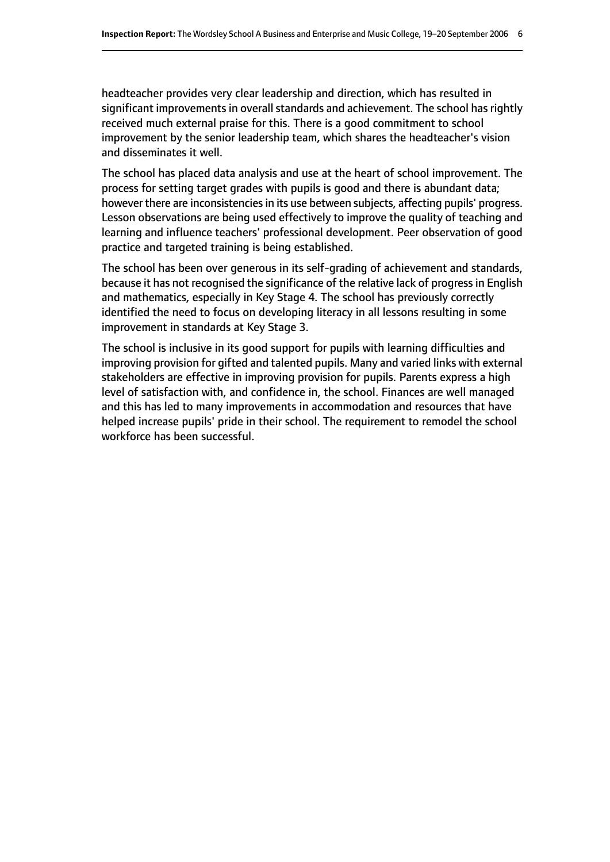headteacher provides very clear leadership and direction, which has resulted in significant improvements in overall standards and achievement. The school has rightly received much external praise for this. There is a good commitment to school improvement by the senior leadership team, which shares the headteacher's vision and disseminates it well.

The school has placed data analysis and use at the heart of school improvement. The process for setting target grades with pupils is good and there is abundant data; however there are inconsistencies in its use between subjects, affecting pupils' progress. Lesson observations are being used effectively to improve the quality of teaching and learning and influence teachers' professional development. Peer observation of good practice and targeted training is being established.

The school has been over generous in its self-grading of achievement and standards, because it has not recognised the significance of the relative lack of progressin English and mathematics, especially in Key Stage 4. The school has previously correctly identified the need to focus on developing literacy in all lessons resulting in some improvement in standards at Key Stage 3.

The school is inclusive in its good support for pupils with learning difficulties and improving provision for gifted and talented pupils. Many and varied links with external stakeholders are effective in improving provision for pupils. Parents express a high level of satisfaction with, and confidence in, the school. Finances are well managed and this has led to many improvements in accommodation and resources that have helped increase pupils' pride in their school. The requirement to remodel the school workforce has been successful.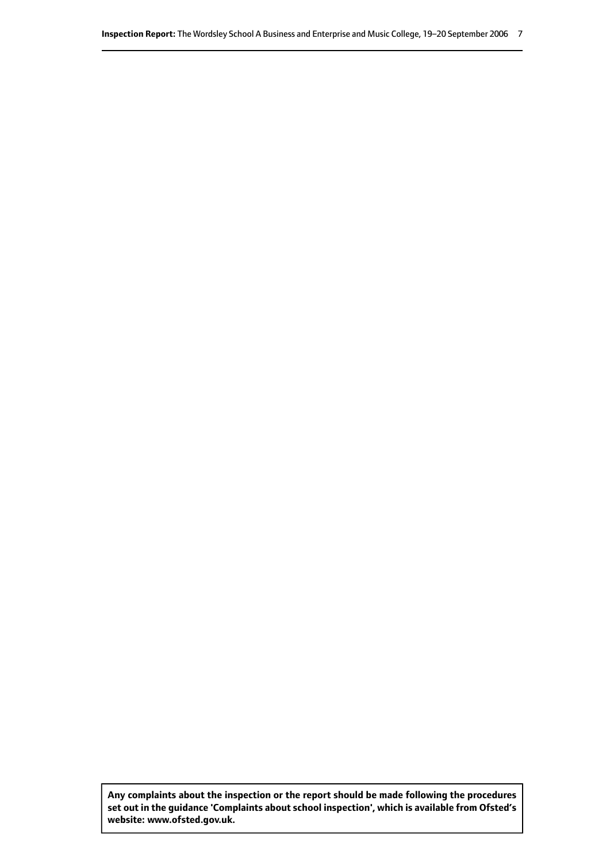**Any complaints about the inspection or the report should be made following the procedures set out inthe guidance 'Complaints about school inspection', whichis available from Ofsted's website: www.ofsted.gov.uk.**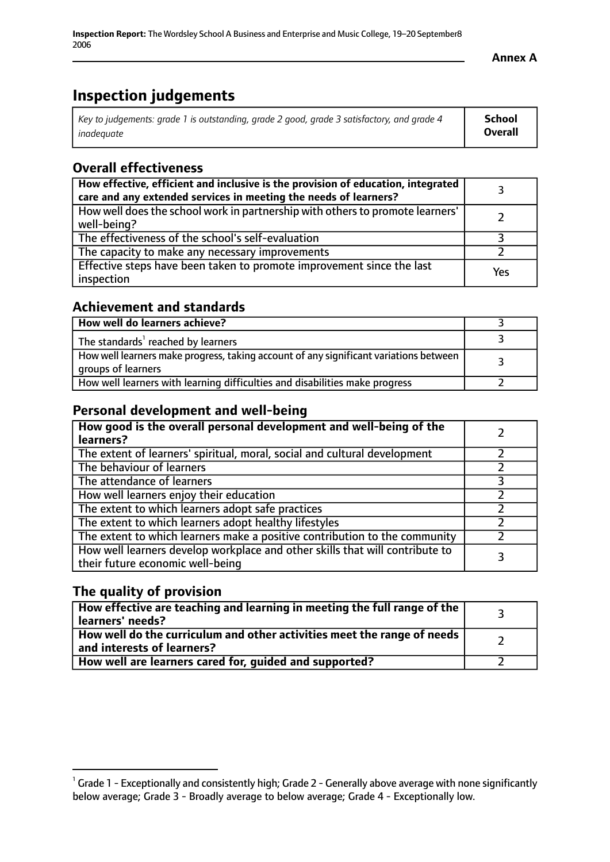# **Inspection judgements**

| Key to judgements: grade 1 is outstanding, grade 2 good, grade 3 satisfactory, and grade 4 | School         |
|--------------------------------------------------------------------------------------------|----------------|
| inadeauate                                                                                 | <b>Overall</b> |

# **Overall effectiveness**

| How effective, efficient and inclusive is the provision of education, integrated<br>care and any extended services in meeting the needs of learners? |     |
|------------------------------------------------------------------------------------------------------------------------------------------------------|-----|
| How well does the school work in partnership with others to promote learners'<br>well-being?                                                         |     |
| The effectiveness of the school's self-evaluation                                                                                                    |     |
| The capacity to make any necessary improvements                                                                                                      |     |
| Effective steps have been taken to promote improvement since the last<br>inspection                                                                  | Yes |

### **Achievement and standards**

| How well do learners achieve?                                                                               |  |
|-------------------------------------------------------------------------------------------------------------|--|
| The standards <sup>1</sup> reached by learners                                                              |  |
| How well learners make progress, taking account of any significant variations between<br>groups of learners |  |
| How well learners with learning difficulties and disabilities make progress                                 |  |

# **Personal development and well-being**

| How good is the overall personal development and well-being of the<br>learners?                                  |  |
|------------------------------------------------------------------------------------------------------------------|--|
| The extent of learners' spiritual, moral, social and cultural development                                        |  |
| The behaviour of learners                                                                                        |  |
| The attendance of learners                                                                                       |  |
| How well learners enjoy their education                                                                          |  |
| The extent to which learners adopt safe practices                                                                |  |
| The extent to which learners adopt healthy lifestyles                                                            |  |
| The extent to which learners make a positive contribution to the community                                       |  |
| How well learners develop workplace and other skills that will contribute to<br>their future economic well-being |  |

# **The quality of provision**

| How effective are teaching and learning in meeting the full range of the<br>learners' needs?                                   |  |
|--------------------------------------------------------------------------------------------------------------------------------|--|
| $\mid$ How well do the curriculum and other activities meet the range of needs $\mid$<br>$^{\rm t}$ and interests of learners? |  |
| How well are learners cared for, guided and supported?                                                                         |  |

 $^1$  Grade 1 - Exceptionally and consistently high; Grade 2 - Generally above average with none significantly below average; Grade 3 - Broadly average to below average; Grade 4 - Exceptionally low.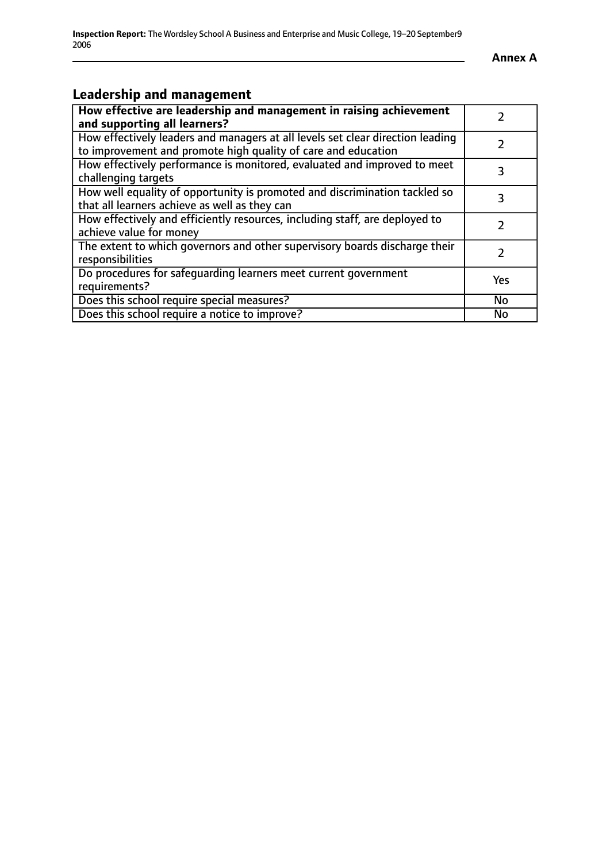# **Leadership and management**

| How effective are leadership and management in raising achievement                                                                              |               |
|-------------------------------------------------------------------------------------------------------------------------------------------------|---------------|
| and supporting all learners?                                                                                                                    |               |
| How effectively leaders and managers at all levels set clear direction leading<br>to improvement and promote high quality of care and education |               |
| How effectively performance is monitored, evaluated and improved to meet<br>challenging targets                                                 | 3             |
| How well equality of opportunity is promoted and discrimination tackled so<br>that all learners achieve as well as they can                     |               |
| How effectively and efficiently resources, including staff, are deployed to<br>achieve value for money                                          | $\mathcal{P}$ |
| The extent to which governors and other supervisory boards discharge their<br>responsibilities                                                  | 2             |
| Do procedures for safequarding learners meet current government<br>requirements?                                                                | Yes           |
| Does this school require special measures?                                                                                                      | No            |
| Does this school require a notice to improve?                                                                                                   | <b>No</b>     |